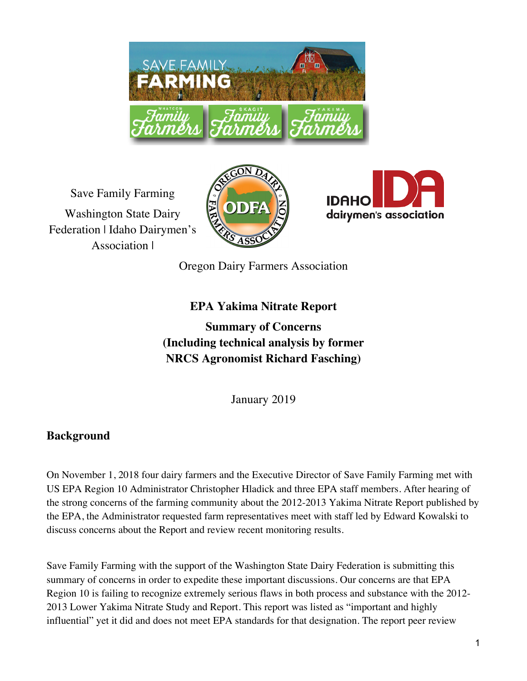

Save Family Farming Washington State Dairy Federation | Idaho Dairymen's Association |





Oregon Dairy Farmers Association

# **EPA Yakima Nitrate Report**

**Summary of Concerns (Including technical analysis by former NRCS Agronomist Richard Fasching)**

January 2019

# **Background**

On November 1, 2018 four dairy farmers and the Executive Director of Save Family Farming met with US EPA Region 10 Administrator Christopher Hladick and three EPA staff members. After hearing of the strong concerns of the farming community about the 2012-2013 Yakima Nitrate Report published by the EPA, the Administrator requested farm representatives meet with staff led by Edward Kowalski to discuss concerns about the Report and review recent monitoring results.

Save Family Farming with the support of the Washington State Dairy Federation is submitting this summary of concerns in order to expedite these important discussions. Our concerns are that EPA Region 10 is failing to recognize extremely serious flaws in both process and substance with the 2012- 2013 Lower Yakima Nitrate Study and Report. This report was listed as "important and highly influential" yet it did and does not meet EPA standards for that designation. The report peer review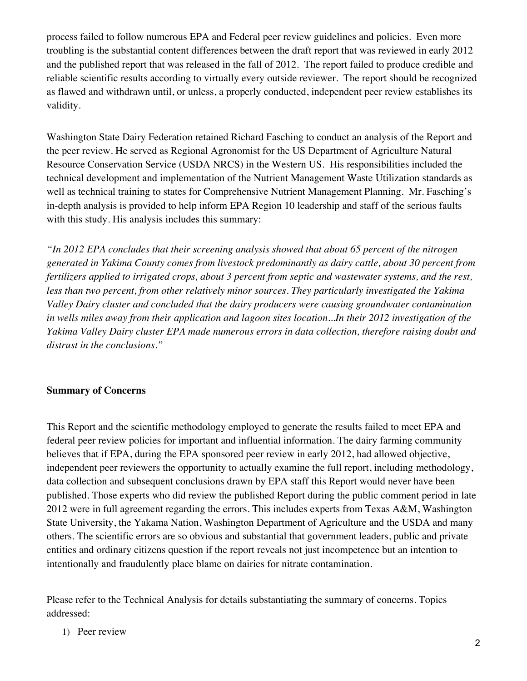process failed to follow numerous EPA and Federal peer review guidelines and policies. Even more troubling is the substantial content differences between the draft report that was reviewed in early 2012 and the published report that was released in the fall of 2012. The report failed to produce credible and reliable scientific results according to virtually every outside reviewer. The report should be recognized as flawed and withdrawn until, or unless, a properly conducted, independent peer review establishes its validity.

Washington State Dairy Federation retained Richard Fasching to conduct an analysis of the Report and the peer review. He served as Regional Agronomist for the US Department of Agriculture Natural Resource Conservation Service (USDA NRCS) in the Western US. His responsibilities included the technical development and implementation of the Nutrient Management Waste Utilization standards as well as technical training to states for Comprehensive Nutrient Management Planning. Mr. Fasching's in-depth analysis is provided to help inform EPA Region 10 leadership and staff of the serious faults with this study. His analysis includes this summary:

*"In 2012 EPA concludes that their screening analysis showed that about 65 percent of the nitrogen generated in Yakima County comes from livestock predominantly as dairy cattle, about 30 percent from fertilizers applied to irrigated crops, about 3 percent from septic and wastewater systems, and the rest, less than two percent, from other relatively minor sources. They particularly investigated the Yakima Valley Dairy cluster and concluded that the dairy producers were causing groundwater contamination in wells miles away from their application and lagoon sites location...In their 2012 investigation of the Yakima Valley Dairy cluster EPA made numerous errors in data collection, therefore raising doubt and distrust in the conclusions."* 

#### **Summary of Concerns**

This Report and the scientific methodology employed to generate the results failed to meet EPA and federal peer review policies for important and influential information. The dairy farming community believes that if EPA, during the EPA sponsored peer review in early 2012, had allowed objective, independent peer reviewers the opportunity to actually examine the full report, including methodology, data collection and subsequent conclusions drawn by EPA staff this Report would never have been published. Those experts who did review the published Report during the public comment period in late 2012 were in full agreement regarding the errors. This includes experts from Texas A&M, Washington State University, the Yakama Nation, Washington Department of Agriculture and the USDA and many others. The scientific errors are so obvious and substantial that government leaders, public and private entities and ordinary citizens question if the report reveals not just incompetence but an intention to intentionally and fraudulently place blame on dairies for nitrate contamination.

Please refer to the Technical Analysis for details substantiating the summary of concerns. Topics addressed:

1) Peer review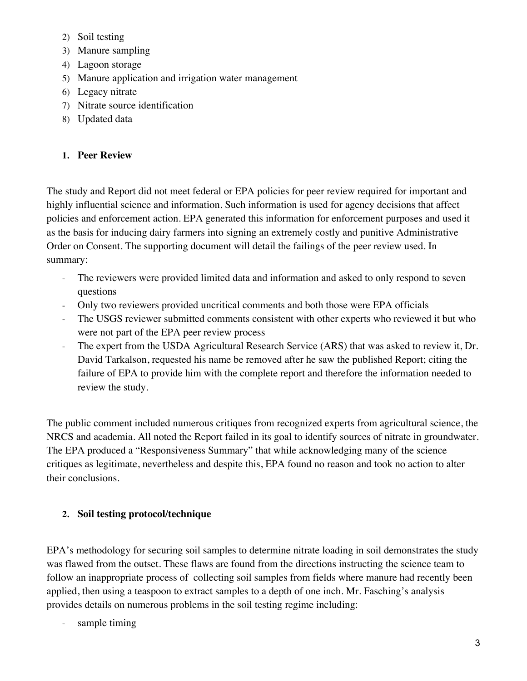- 2) Soil testing
- 3) Manure sampling
- 4) Lagoon storage
- 5) Manure application and irrigation water management
- 6) Legacy nitrate
- 7) Nitrate source identification
- 8) Updated data

# **1. Peer Review**

The study and Report did not meet federal or EPA policies for peer review required for important and highly influential science and information. Such information is used for agency decisions that affect policies and enforcement action. EPA generated this information for enforcement purposes and used it as the basis for inducing dairy farmers into signing an extremely costly and punitive Administrative Order on Consent. The supporting document will detail the failings of the peer review used. In summary:

- The reviewers were provided limited data and information and asked to only respond to seven questions
- Only two reviewers provided uncritical comments and both those were EPA officials
- The USGS reviewer submitted comments consistent with other experts who reviewed it but who were not part of the EPA peer review process
- The expert from the USDA Agricultural Research Service (ARS) that was asked to review it, Dr. David Tarkalson, requested his name be removed after he saw the published Report; citing the failure of EPA to provide him with the complete report and therefore the information needed to review the study.

The public comment included numerous critiques from recognized experts from agricultural science, the NRCS and academia. All noted the Report failed in its goal to identify sources of nitrate in groundwater. The EPA produced a "Responsiveness Summary" that while acknowledging many of the science critiques as legitimate, nevertheless and despite this, EPA found no reason and took no action to alter their conclusions.

# **2. Soil testing protocol/technique**

EPA's methodology for securing soil samples to determine nitrate loading in soil demonstrates the study was flawed from the outset. These flaws are found from the directions instructing the science team to follow an inappropriate process of collecting soil samples from fields where manure had recently been applied, then using a teaspoon to extract samples to a depth of one inch. Mr. Fasching's analysis provides details on numerous problems in the soil testing regime including:

sample timing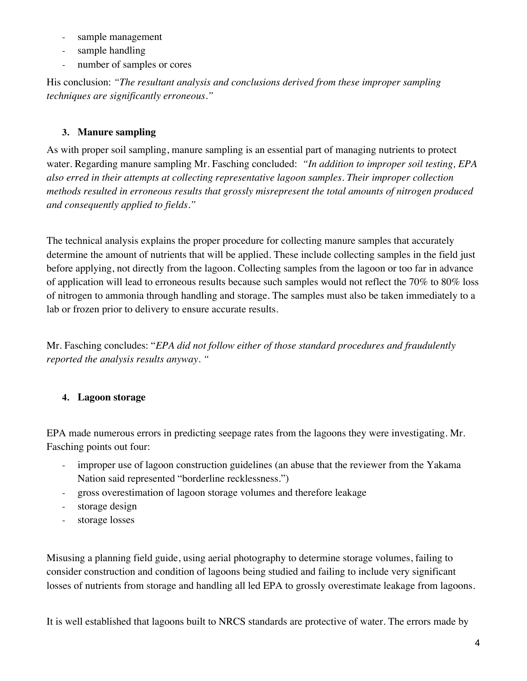- sample management
- sample handling
- number of samples or cores

His conclusion: *"The resultant analysis and conclusions derived from these improper sampling techniques are significantly erroneous."*

## **3. Manure sampling**

As with proper soil sampling, manure sampling is an essential part of managing nutrients to protect water. Regarding manure sampling Mr. Fasching concluded: *"In addition to improper soil testing, EPA also erred in their attempts at collecting representative lagoon samples. Their improper collection methods resulted in erroneous results that grossly misrepresent the total amounts of nitrogen produced and consequently applied to fields."* 

The technical analysis explains the proper procedure for collecting manure samples that accurately determine the amount of nutrients that will be applied. These include collecting samples in the field just before applying, not directly from the lagoon. Collecting samples from the lagoon or too far in advance of application will lead to erroneous results because such samples would not reflect the 70% to 80% loss of nitrogen to ammonia through handling and storage. The samples must also be taken immediately to a lab or frozen prior to delivery to ensure accurate results.

Mr. Fasching concludes: "*EPA did not follow either of those standard procedures and fraudulently reported the analysis results anyway. "*

## **4. Lagoon storage**

EPA made numerous errors in predicting seepage rates from the lagoons they were investigating. Mr. Fasching points out four:

- improper use of lagoon construction guidelines (an abuse that the reviewer from the Yakama Nation said represented "borderline recklessness.")
- gross overestimation of lagoon storage volumes and therefore leakage
- storage design
- storage losses

Misusing a planning field guide, using aerial photography to determine storage volumes, failing to consider construction and condition of lagoons being studied and failing to include very significant losses of nutrients from storage and handling all led EPA to grossly overestimate leakage from lagoons.

It is well established that lagoons built to NRCS standards are protective of water. The errors made by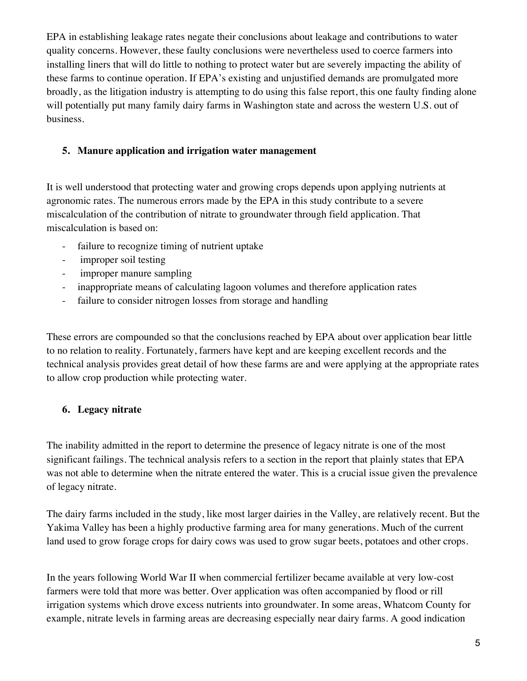EPA in establishing leakage rates negate their conclusions about leakage and contributions to water quality concerns. However, these faulty conclusions were nevertheless used to coerce farmers into installing liners that will do little to nothing to protect water but are severely impacting the ability of these farms to continue operation. If EPA's existing and unjustified demands are promulgated more broadly, as the litigation industry is attempting to do using this false report, this one faulty finding alone will potentially put many family dairy farms in Washington state and across the western U.S. out of business.

## **5. Manure application and irrigation water management**

It is well understood that protecting water and growing crops depends upon applying nutrients at agronomic rates. The numerous errors made by the EPA in this study contribute to a severe miscalculation of the contribution of nitrate to groundwater through field application. That miscalculation is based on:

- failure to recognize timing of nutrient uptake
- improper soil testing
- improper manure sampling
- inappropriate means of calculating lagoon volumes and therefore application rates
- failure to consider nitrogen losses from storage and handling

These errors are compounded so that the conclusions reached by EPA about over application bear little to no relation to reality. Fortunately, farmers have kept and are keeping excellent records and the technical analysis provides great detail of how these farms are and were applying at the appropriate rates to allow crop production while protecting water.

## **6. Legacy nitrate**

The inability admitted in the report to determine the presence of legacy nitrate is one of the most significant failings. The technical analysis refers to a section in the report that plainly states that EPA was not able to determine when the nitrate entered the water. This is a crucial issue given the prevalence of legacy nitrate.

The dairy farms included in the study, like most larger dairies in the Valley, are relatively recent. But the Yakima Valley has been a highly productive farming area for many generations. Much of the current land used to grow forage crops for dairy cows was used to grow sugar beets, potatoes and other crops.

In the years following World War II when commercial fertilizer became available at very low-cost farmers were told that more was better. Over application was often accompanied by flood or rill irrigation systems which drove excess nutrients into groundwater. In some areas, Whatcom County for example, nitrate levels in farming areas are decreasing especially near dairy farms. A good indication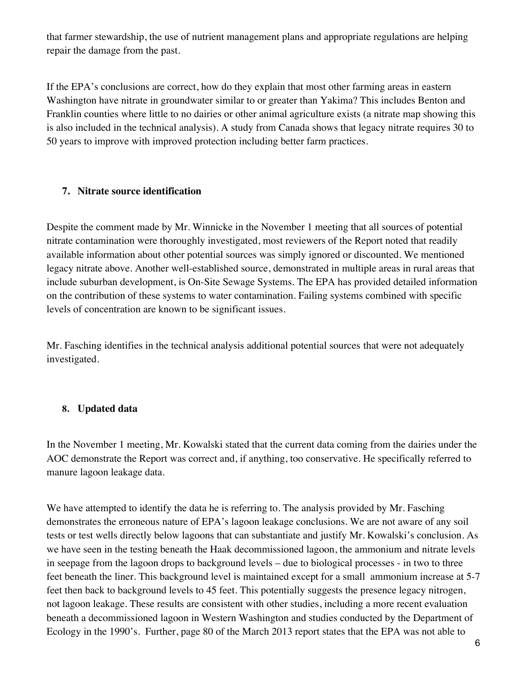that farmer stewardship, the use of nutrient management plans and appropriate regulations are helping repair the damage from the past.

If the EPA's conclusions are correct, how do they explain that most other farming areas in eastern Washington have nitrate in groundwater similar to or greater than Yakima? This includes Benton and Franklin counties where little to no dairies or other animal agriculture exists (a nitrate map showing this is also included in the technical analysis). A study from Canada shows that legacy nitrate requires 30 to 50 years to improve with improved protection including better farm practices.

#### **7. Nitrate source identification**

Despite the comment made by Mr. Winnicke in the November 1 meeting that all sources of potential nitrate contamination were thoroughly investigated, most reviewers of the Report noted that readily available information about other potential sources was simply ignored or discounted. We mentioned legacy nitrate above. Another well-established source, demonstrated in multiple areas in rural areas that include suburban development, is On-Site Sewage Systems. The EPA has provided detailed information on the contribution of these systems to water contamination. Failing systems combined with specific levels of concentration are known to be significant issues.

Mr. Fasching identifies in the technical analysis additional potential sources that were not adequately investigated.

### **8. Updated data**

In the November 1 meeting, Mr. Kowalski stated that the current data coming from the dairies under the AOC demonstrate the Report was correct and, if anything, too conservative. He specifically referred to manure lagoon leakage data.

We have attempted to identify the data he is referring to. The analysis provided by Mr. Fasching demonstrates the erroneous nature of EPA's lagoon leakage conclusions. We are not aware of any soil tests or test wells directly below lagoons that can substantiate and justify Mr. Kowalski's conclusion. As we have seen in the testing beneath the Haak decommissioned lagoon, the ammonium and nitrate levels in seepage from the lagoon drops to background levels – due to biological processes - in two to three feet beneath the liner. This background level is maintained except for a small ammonium increase at 5-7 feet then back to background levels to 45 feet. This potentially suggests the presence legacy nitrogen, not lagoon leakage. These results are consistent with other studies, including a more recent evaluation beneath a decommissioned lagoon in Western Washington and studies conducted by the Department of Ecology in the 1990's. Further, page 80 of the March 2013 report states that the EPA was not able to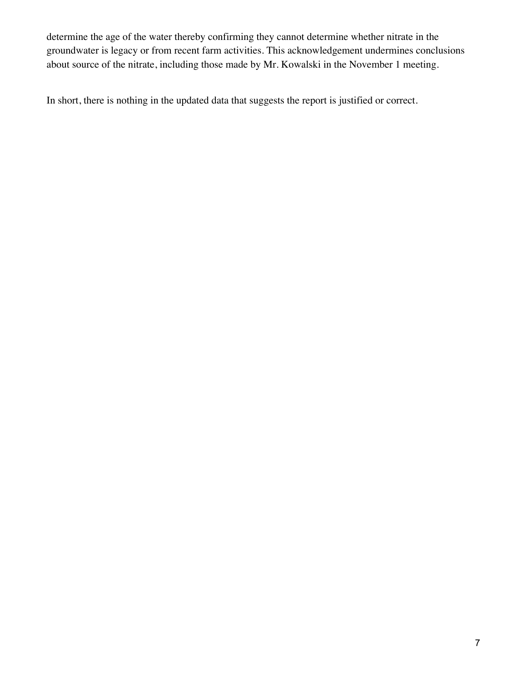determine the age of the water thereby confirming they cannot determine whether nitrate in the groundwater is legacy or from recent farm activities. This acknowledgement undermines conclusions about source of the nitrate, including those made by Mr. Kowalski in the November 1 meeting.

In short, there is nothing in the updated data that suggests the report is justified or correct.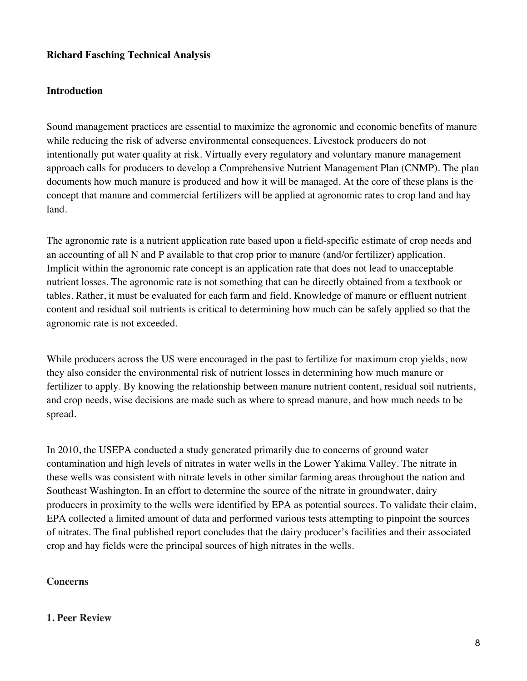#### **Richard Fasching Technical Analysis**

#### **Introduction**

Sound management practices are essential to maximize the agronomic and economic benefits of manure while reducing the risk of adverse environmental consequences. Livestock producers do not intentionally put water quality at risk. Virtually every regulatory and voluntary manure management approach calls for producers to develop a Comprehensive Nutrient Management Plan (CNMP). The plan documents how much manure is produced and how it will be managed. At the core of these plans is the concept that manure and commercial fertilizers will be applied at agronomic rates to crop land and hay land.

The agronomic rate is a nutrient application rate based upon a field-specific estimate of crop needs and an accounting of all N and P available to that crop prior to manure (and/or fertilizer) application. Implicit within the agronomic rate concept is an application rate that does not lead to unacceptable nutrient losses. The agronomic rate is not something that can be directly obtained from a textbook or tables. Rather, it must be evaluated for each farm and field. Knowledge of manure or effluent nutrient content and residual soil nutrients is critical to determining how much can be safely applied so that the agronomic rate is not exceeded.

While producers across the US were encouraged in the past to fertilize for maximum crop yields, now they also consider the environmental risk of nutrient losses in determining how much manure or fertilizer to apply. By knowing the relationship between manure nutrient content, residual soil nutrients, and crop needs, wise decisions are made such as where to spread manure, and how much needs to be spread.

In 2010, the USEPA conducted a study generated primarily due to concerns of ground water contamination and high levels of nitrates in water wells in the Lower Yakima Valley. The nitrate in these wells was consistent with nitrate levels in other similar farming areas throughout the nation and Southeast Washington. In an effort to determine the source of the nitrate in groundwater, dairy producers in proximity to the wells were identified by EPA as potential sources. To validate their claim, EPA collected a limited amount of data and performed various tests attempting to pinpoint the sources of nitrates. The final published report concludes that the dairy producer's facilities and their associated crop and hay fields were the principal sources of high nitrates in the wells.

#### **Concerns**

#### **1. Peer Review**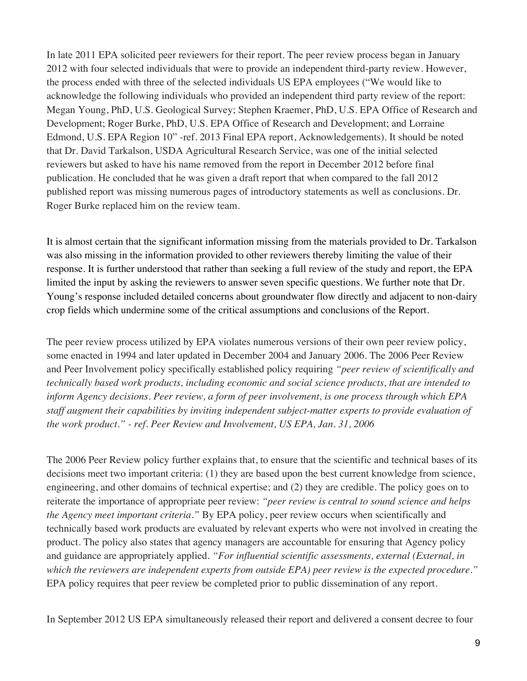In late 2011 EPA solicited peer reviewers for their report. The peer review process began in January 2012 with four selected individuals that were to provide an independent third-party review. However, the process ended with three of the selected individuals US EPA employees ("We would like to acknowledge the following individuals who provided an independent third party review of the report: Megan Young, PhD, U.S. Geological Survey; Stephen Kraemer, PhD, U.S. EPA Office of Research and Development; Roger Burke, PhD, U.S. EPA Office of Research and Development; and Lorraine Edmond, U.S. EPA Region 10" -ref. 2013 Final EPA report, Acknowledgements). It should be noted that Dr. David Tarkalson, USDA Agricultural Research Service, was one of the initial selected reviewers but asked to have his name removed from the report in December 2012 before final publication. He concluded that he was given a draft report that when compared to the fall 2012 published report was missing numerous pages of introductory statements as well as conclusions. Dr. Roger Burke replaced him on the review team.

It is almost certain that the significant information missing from the materials provided to Dr. Tarkalson was also missing in the information provided to other reviewers thereby limiting the value of their response. It is further understood that rather than seeking a full review of the study and report, the EPA limited the input by asking the reviewers to answer seven specific questions. We further note that Dr. Young's response included detailed concerns about groundwater flow directly and adjacent to non-dairy crop fields which undermine some of the critical assumptions and conclusions of the Report.

The peer review process utilized by EPA violates numerous versions of their own peer review policy, some enacted in 1994 and later updated in December 2004 and January 2006. The 2006 Peer Review and Peer Involvement policy specifically established policy requiring *"peer review of scientifically and technically based work products, including economic and social science products, that are intended to inform Agency decisions. Peer review, a form of peer involvement, is one process through which EPA staff augment their capabilities by inviting independent subject-matter experts to provide evaluation of the work product." - ref. Peer Review and Involvement, US EPA, Jan. 31, 2006*

The 2006 Peer Review policy further explains that, to ensure that the scientific and technical bases of its decisions meet two important criteria: (1) they are based upon the best current knowledge from science, engineering, and other domains of technical expertise; and (2) they are credible. The policy goes on to reiterate the importance of appropriate peer review: *"peer review is central to sound science and helps the Agency meet important criteria."* By EPA policy, peer review occurs when scientifically and technically based work products are evaluated by relevant experts who were not involved in creating the product. The policy also states that agency managers are accountable for ensuring that Agency policy and guidance are appropriately applied. *"For influential scientific assessments, external (External, in which the reviewers are independent experts from outside EPA) peer review is the expected procedure."* EPA policy requires that peer review be completed prior to public dissemination of any report.

In September 2012 US EPA simultaneously released their report and delivered a consent decree to four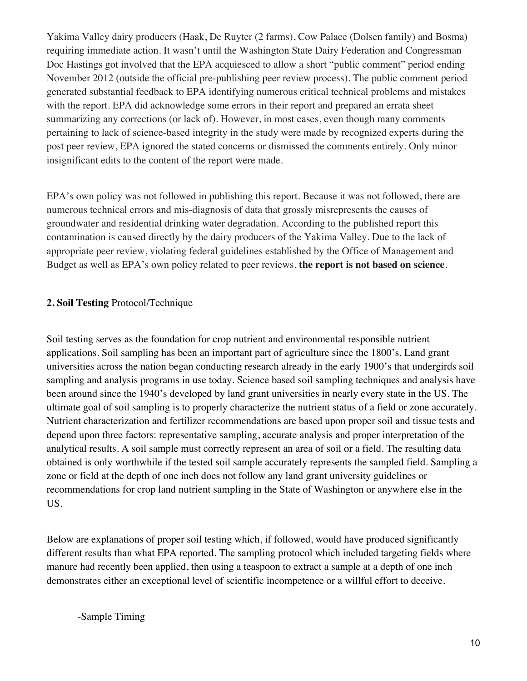Yakima Valley dairy producers (Haak, De Ruyter (2 farms), Cow Palace (Dolsen family) and Bosma) requiring immediate action. It wasn't until the Washington State Dairy Federation and Congressman Doc Hastings got involved that the EPA acquiesced to allow a short "public comment" period ending November 2012 (outside the official pre-publishing peer review process). The public comment period generated substantial feedback to EPA identifying numerous critical technical problems and mistakes with the report. EPA did acknowledge some errors in their report and prepared an errata sheet summarizing any corrections (or lack of). However, in most cases, even though many comments pertaining to lack of science-based integrity in the study were made by recognized experts during the post peer review, EPA ignored the stated concerns or dismissed the comments entirely. Only minor insignificant edits to the content of the report were made.

EPA's own policy was not followed in publishing this report. Because it was not followed, there are numerous technical errors and mis-diagnosis of data that grossly misrepresents the causes of groundwater and residential drinking water degradation. According to the published report this contamination is caused directly by the dairy producers of the Yakima Valley. Due to the lack of appropriate peer review, violating federal guidelines established by the Office of Management and Budget as well as EPA's own policy related to peer reviews, **the report is not based on science**.

## **2. Soil Testing** Protocol/Technique

Soil testing serves as the foundation for crop nutrient and environmental responsible nutrient applications. Soil sampling has been an important part of agriculture since the 1800's. Land grant universities across the nation began conducting research already in the early 1900's that undergirds soil sampling and analysis programs in use today. Science based soil sampling techniques and analysis have been around since the 1940's developed by land grant universities in nearly every state in the US. The ultimate goal of soil sampling is to properly characterize the nutrient status of a field or zone accurately. Nutrient characterization and fertilizer recommendations are based upon proper soil and tissue tests and depend upon three factors: representative sampling, accurate analysis and proper interpretation of the analytical results. A soil sample must correctly represent an area of soil or a field. The resulting data obtained is only worthwhile if the tested soil sample accurately represents the sampled field. Sampling a zone or field at the depth of one inch does not follow any land grant university guidelines or recommendations for crop land nutrient sampling in the State of Washington or anywhere else in the US.

Below are explanations of proper soil testing which, if followed, would have produced significantly different results than what EPA reported. The sampling protocol which included targeting fields where manure had recently been applied, then using a teaspoon to extract a sample at a depth of one inch demonstrates either an exceptional level of scientific incompetence or a willful effort to deceive.

-Sample Timing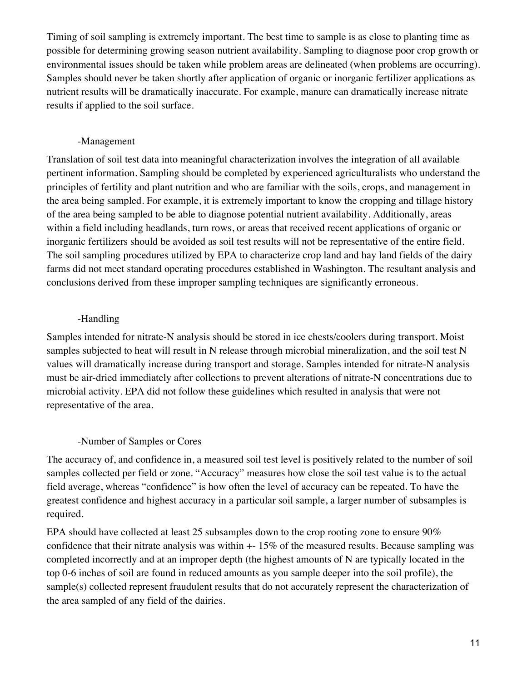Timing of soil sampling is extremely important. The best time to sample is as close to planting time as possible for determining growing season nutrient availability. Sampling to diagnose poor crop growth or environmental issues should be taken while problem areas are delineated (when problems are occurring). Samples should never be taken shortly after application of organic or inorganic fertilizer applications as nutrient results will be dramatically inaccurate. For example, manure can dramatically increase nitrate results if applied to the soil surface.

### -Management

Translation of soil test data into meaningful characterization involves the integration of all available pertinent information. Sampling should be completed by experienced agriculturalists who understand the principles of fertility and plant nutrition and who are familiar with the soils, crops, and management in the area being sampled. For example, it is extremely important to know the cropping and tillage history of the area being sampled to be able to diagnose potential nutrient availability. Additionally, areas within a field including headlands, turn rows, or areas that received recent applications of organic or inorganic fertilizers should be avoided as soil test results will not be representative of the entire field. The soil sampling procedures utilized by EPA to characterize crop land and hay land fields of the dairy farms did not meet standard operating procedures established in Washington. The resultant analysis and conclusions derived from these improper sampling techniques are significantly erroneous.

## -Handling

Samples intended for nitrate-N analysis should be stored in ice chests/coolers during transport. Moist samples subjected to heat will result in N release through microbial mineralization, and the soil test N values will dramatically increase during transport and storage. Samples intended for nitrate-N analysis must be air-dried immediately after collections to prevent alterations of nitrate-N concentrations due to microbial activity. EPA did not follow these guidelines which resulted in analysis that were not representative of the area.

### -Number of Samples or Cores

The accuracy of, and confidence in, a measured soil test level is positively related to the number of soil samples collected per field or zone. "Accuracy" measures how close the soil test value is to the actual field average, whereas "confidence" is how often the level of accuracy can be repeated. To have the greatest confidence and highest accuracy in a particular soil sample, a larger number of subsamples is required.

EPA should have collected at least 25 subsamples down to the crop rooting zone to ensure 90% confidence that their nitrate analysis was within +- 15% of the measured results. Because sampling was completed incorrectly and at an improper depth (the highest amounts of N are typically located in the top 0-6 inches of soil are found in reduced amounts as you sample deeper into the soil profile), the sample(s) collected represent fraudulent results that do not accurately represent the characterization of the area sampled of any field of the dairies.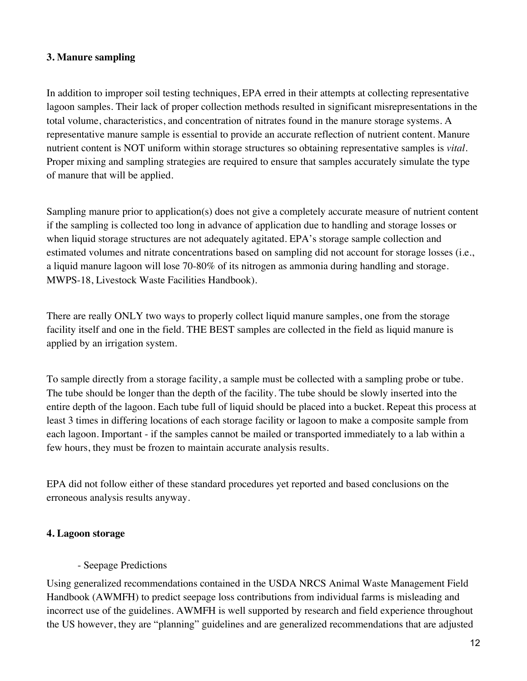### **3. Manure sampling**

In addition to improper soil testing techniques, EPA erred in their attempts at collecting representative lagoon samples. Their lack of proper collection methods resulted in significant misrepresentations in the total volume, characteristics, and concentration of nitrates found in the manure storage systems. A representative manure sample is essential to provide an accurate reflection of nutrient content. Manure nutrient content is NOT uniform within storage structures so obtaining representative samples is *vital*. Proper mixing and sampling strategies are required to ensure that samples accurately simulate the type of manure that will be applied.

Sampling manure prior to application(s) does not give a completely accurate measure of nutrient content if the sampling is collected too long in advance of application due to handling and storage losses or when liquid storage structures are not adequately agitated. EPA's storage sample collection and estimated volumes and nitrate concentrations based on sampling did not account for storage losses (i.e., a liquid manure lagoon will lose 70-80% of its nitrogen as ammonia during handling and storage. MWPS-18, Livestock Waste Facilities Handbook).

There are really ONLY two ways to properly collect liquid manure samples, one from the storage facility itself and one in the field. THE BEST samples are collected in the field as liquid manure is applied by an irrigation system.

To sample directly from a storage facility, a sample must be collected with a sampling probe or tube. The tube should be longer than the depth of the facility. The tube should be slowly inserted into the entire depth of the lagoon. Each tube full of liquid should be placed into a bucket. Repeat this process at least 3 times in differing locations of each storage facility or lagoon to make a composite sample from each lagoon. Important - if the samples cannot be mailed or transported immediately to a lab within a few hours, they must be frozen to maintain accurate analysis results.

EPA did not follow either of these standard procedures yet reported and based conclusions on the erroneous analysis results anyway.

### **4. Lagoon storage**

### - Seepage Predictions

Using generalized recommendations contained in the USDA NRCS Animal Waste Management Field Handbook (AWMFH) to predict seepage loss contributions from individual farms is misleading and incorrect use of the guidelines. AWMFH is well supported by research and field experience throughout the US however, they are "planning" guidelines and are generalized recommendations that are adjusted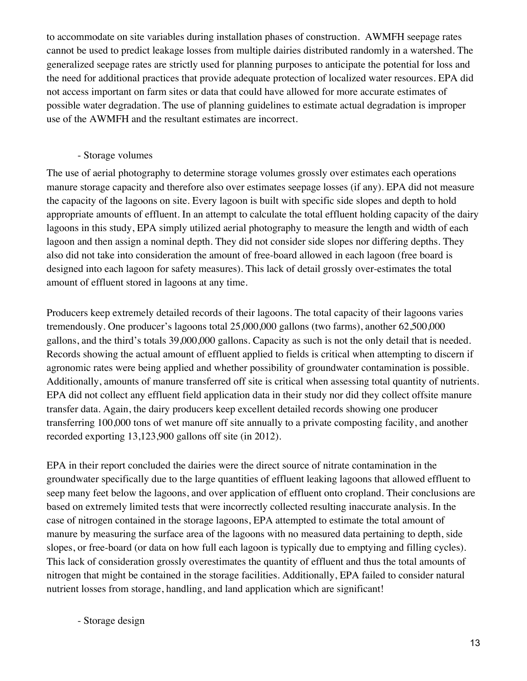to accommodate on site variables during installation phases of construction. AWMFH seepage rates cannot be used to predict leakage losses from multiple dairies distributed randomly in a watershed. The generalized seepage rates are strictly used for planning purposes to anticipate the potential for loss and the need for additional practices that provide adequate protection of localized water resources. EPA did not access important on farm sites or data that could have allowed for more accurate estimates of possible water degradation. The use of planning guidelines to estimate actual degradation is improper use of the AWMFH and the resultant estimates are incorrect.

#### - Storage volumes

The use of aerial photography to determine storage volumes grossly over estimates each operations manure storage capacity and therefore also over estimates seepage losses (if any). EPA did not measure the capacity of the lagoons on site. Every lagoon is built with specific side slopes and depth to hold appropriate amounts of effluent. In an attempt to calculate the total effluent holding capacity of the dairy lagoons in this study, EPA simply utilized aerial photography to measure the length and width of each lagoon and then assign a nominal depth. They did not consider side slopes nor differing depths. They also did not take into consideration the amount of free-board allowed in each lagoon (free board is designed into each lagoon for safety measures). This lack of detail grossly over-estimates the total amount of effluent stored in lagoons at any time.

Producers keep extremely detailed records of their lagoons. The total capacity of their lagoons varies tremendously. One producer's lagoons total 25,000,000 gallons (two farms), another 62,500,000 gallons, and the third's totals 39,000,000 gallons. Capacity as such is not the only detail that is needed. Records showing the actual amount of effluent applied to fields is critical when attempting to discern if agronomic rates were being applied and whether possibility of groundwater contamination is possible. Additionally, amounts of manure transferred off site is critical when assessing total quantity of nutrients. EPA did not collect any effluent field application data in their study nor did they collect offsite manure transfer data. Again, the dairy producers keep excellent detailed records showing one producer transferring 100,000 tons of wet manure off site annually to a private composting facility, and another recorded exporting 13,123,900 gallons off site (in 2012).

EPA in their report concluded the dairies were the direct source of nitrate contamination in the groundwater specifically due to the large quantities of effluent leaking lagoons that allowed effluent to seep many feet below the lagoons, and over application of effluent onto cropland. Their conclusions are based on extremely limited tests that were incorrectly collected resulting inaccurate analysis. In the case of nitrogen contained in the storage lagoons, EPA attempted to estimate the total amount of manure by measuring the surface area of the lagoons with no measured data pertaining to depth, side slopes, or free-board (or data on how full each lagoon is typically due to emptying and filling cycles). This lack of consideration grossly overestimates the quantity of effluent and thus the total amounts of nitrogen that might be contained in the storage facilities. Additionally, EPA failed to consider natural nutrient losses from storage, handling, and land application which are significant!

- Storage design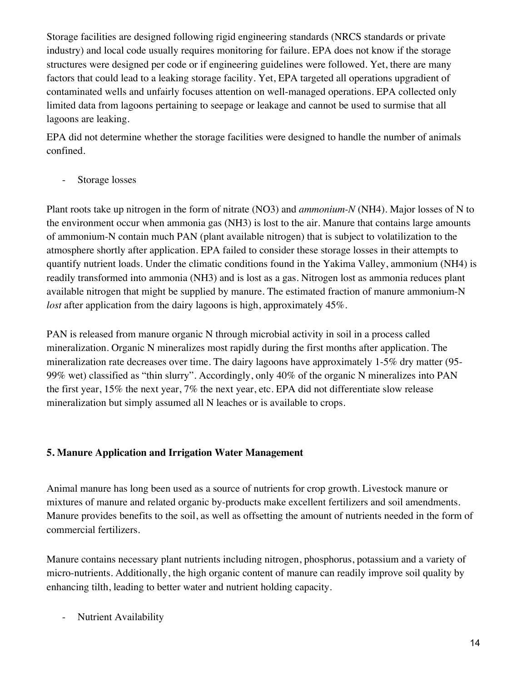Storage facilities are designed following rigid engineering standards (NRCS standards or private industry) and local code usually requires monitoring for failure. EPA does not know if the storage structures were designed per code or if engineering guidelines were followed. Yet, there are many factors that could lead to a leaking storage facility. Yet, EPA targeted all operations upgradient of contaminated wells and unfairly focuses attention on well-managed operations. EPA collected only limited data from lagoons pertaining to seepage or leakage and cannot be used to surmise that all lagoons are leaking.

EPA did not determine whether the storage facilities were designed to handle the number of animals confined.

Storage losses

Plant roots take up nitrogen in the form of nitrate (NO3) and *ammonium-N* (NH4). Major losses of N to the environment occur when ammonia gas (NH3) is lost to the air. Manure that contains large amounts of ammonium-N contain much PAN (plant available nitrogen) that is subject to volatilization to the atmosphere shortly after application. EPA failed to consider these storage losses in their attempts to quantify nutrient loads. Under the climatic conditions found in the Yakima Valley, ammonium (NH4) is readily transformed into ammonia (NH3) and is lost as a gas. Nitrogen lost as ammonia reduces plant available nitrogen that might be supplied by manure. The estimated fraction of manure ammonium-N *lost* after application from the dairy lagoons is high, approximately 45%.

PAN is released from manure organic N through microbial activity in soil in a process called mineralization. Organic N mineralizes most rapidly during the first months after application. The mineralization rate decreases over time. The dairy lagoons have approximately 1-5% dry matter (95- 99% wet) classified as "thin slurry". Accordingly, only 40% of the organic N mineralizes into PAN the first year, 15% the next year, 7% the next year, etc. EPA did not differentiate slow release mineralization but simply assumed all N leaches or is available to crops.

## **5. Manure Application and Irrigation Water Management**

Animal manure has long been used as a source of nutrients for crop growth. Livestock manure or mixtures of manure and related organic by-products make excellent fertilizers and soil amendments. Manure provides benefits to the soil, as well as offsetting the amount of nutrients needed in the form of commercial fertilizers.

Manure contains necessary plant nutrients including nitrogen, phosphorus, potassium and a variety of micro-nutrients. Additionally, the high organic content of manure can readily improve soil quality by enhancing tilth, leading to better water and nutrient holding capacity.

Nutrient Availability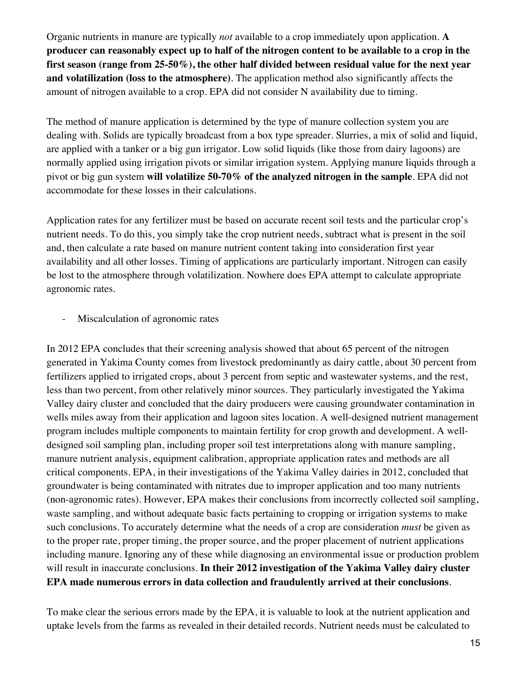Organic nutrients in manure are typically *not* available to a crop immediately upon application. **A producer can reasonably expect up to half of the nitrogen content to be available to a crop in the first season (range from 25-50%), the other half divided between residual value for the next year and volatilization (loss to the atmosphere)**. The application method also significantly affects the amount of nitrogen available to a crop. EPA did not consider N availability due to timing.

The method of manure application is determined by the type of manure collection system you are dealing with. Solids are typically broadcast from a box type spreader. Slurries, a mix of solid and liquid, are applied with a tanker or a big gun irrigator. Low solid liquids (like those from dairy lagoons) are normally applied using irrigation pivots or similar irrigation system. Applying manure liquids through a pivot or big gun system **will volatilize 50-70% of the analyzed nitrogen in the sample**. EPA did not accommodate for these losses in their calculations.

Application rates for any fertilizer must be based on accurate recent soil tests and the particular crop's nutrient needs. To do this, you simply take the crop nutrient needs, subtract what is present in the soil and, then calculate a rate based on manure nutrient content taking into consideration first year availability and all other losses. Timing of applications are particularly important. Nitrogen can easily be lost to the atmosphere through volatilization. Nowhere does EPA attempt to calculate appropriate agronomic rates.

Miscalculation of agronomic rates

In 2012 EPA concludes that their screening analysis showed that about 65 percent of the nitrogen generated in Yakima County comes from livestock predominantly as dairy cattle, about 30 percent from fertilizers applied to irrigated crops, about 3 percent from septic and wastewater systems, and the rest, less than two percent, from other relatively minor sources. They particularly investigated the Yakima Valley dairy cluster and concluded that the dairy producers were causing groundwater contamination in wells miles away from their application and lagoon sites location. A well-designed nutrient management program includes multiple components to maintain fertility for crop growth and development. A welldesigned soil sampling plan, including proper soil test interpretations along with manure sampling, manure nutrient analysis, equipment calibration, appropriate application rates and methods are all critical components. EPA, in their investigations of the Yakima Valley dairies in 2012, concluded that groundwater is being contaminated with nitrates due to improper application and too many nutrients (non-agronomic rates). However, EPA makes their conclusions from incorrectly collected soil sampling, waste sampling, and without adequate basic facts pertaining to cropping or irrigation systems to make such conclusions. To accurately determine what the needs of a crop are consideration *must* be given as to the proper rate, proper timing, the proper source, and the proper placement of nutrient applications including manure. Ignoring any of these while diagnosing an environmental issue or production problem will result in inaccurate conclusions. **In their 2012 investigation of the Yakima Valley dairy cluster EPA made numerous errors in data collection and fraudulently arrived at their conclusions**.

To make clear the serious errors made by the EPA, it is valuable to look at the nutrient application and uptake levels from the farms as revealed in their detailed records. Nutrient needs must be calculated to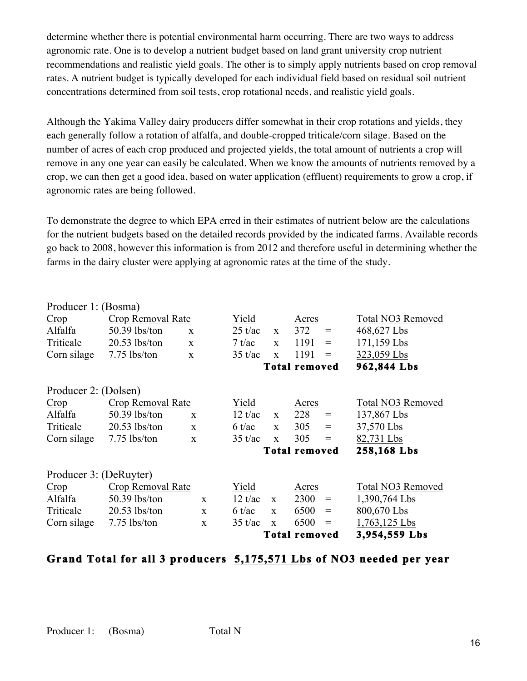determine whether there is potential environmental harm occurring. There are two ways to address agronomic rate. One is to develop a nutrient budget based on land grant university crop nutrient recommendations and realistic yield goals. The other is to simply apply nutrients based on crop removal rates. A nutrient budget is typically developed for each individual field based on residual soil nutrient concentrations determined from soil tests, crop rotational needs, and realistic yield goals.

Although the Yakima Valley dairy producers differ somewhat in their crop rotations and yields, they each generally follow a rotation of alfalfa, and double-cropped triticale/corn silage. Based on the number of acres of each crop produced and projected yields, the total amount of nutrients a crop will remove in any one year can easily be calculated. When we know the amounts of nutrients removed by a crop, we can then get a good idea, based on water application (effluent) requirements to grow a crop, if agronomic rates are being followed.

To demonstrate the degree to which EPA erred in their estimates of nutrient below are the calculations for the nutrient budgets based on the detailed records provided by the indicated farms. Available records go back to 2008, however this information is from 2012 and therefore useful in determining whether the farms in the dairy cluster were applying at agronomic rates at the time of the study.

| Producer 1: (Bosma)    |                   |              |                   |              |                      |                                     |                   |
|------------------------|-------------------|--------------|-------------------|--------------|----------------------|-------------------------------------|-------------------|
| Crop                   | Crop Removal Rate |              | Yield             |              | Acres                |                                     | Total NO3 Removed |
| Alfalfa                | $50.39$ lbs/ton   | $\mathbf{x}$ | $25 \text{ t/ac}$ | $\mathbf{X}$ | 372                  | $\hspace*{0.4em} = \hspace*{0.4em}$ | 468,627 Lbs       |
| Triticale              | $20.53$ lbs/ton   | $\mathbf{x}$ | 7 t/ac            | $\mathbf{x}$ | 1191                 | $\qquad \qquad =$                   | 171,159 Lbs       |
| Corn silage            | $7.75$ lbs/ton    | $\mathbf{x}$ | $35 \text{ t/ac}$ | $\mathbf{X}$ | 1191                 | $\displaystyle \qquad \qquad =$     | 323,059 Lbs       |
|                        |                   |              |                   |              | <b>Total removed</b> |                                     | 962,844 Lbs       |
| Producer 2: (Dolsen)   |                   |              |                   |              |                      |                                     |                   |
| Crop                   | Crop Removal Rate |              | Yield             |              | Acres                |                                     | Total NO3 Removed |
| Alfalfa                | $50.39$ lbs/ton   | $\mathbf{x}$ | $12 \frac{t}{ac}$ | $\mathbf{X}$ | 228                  | $\displaystyle \qquad \qquad =$     | 137,867 Lbs       |
| Triticale              | $20.53$ lbs/ton   | $\mathbf{x}$ | 6 t/ac            | $\mathbf{x}$ | 305                  | $=$                                 | 37,570 Lbs        |
| Corn silage            | $7.75$ lbs/ton    | $\mathbf{x}$ | $35 \text{ t/ac}$ | $\mathbf{X}$ | 305                  | $\qquad \qquad =$                   | 82,731 Lbs        |
|                        |                   |              |                   |              | <b>Total removed</b> |                                     | 258,168 Lbs       |
| Producer 3: (DeRuyter) |                   |              |                   |              |                      |                                     |                   |
| Crop                   | Crop Removal Rate |              | Yield             |              | Acres                |                                     | Total NO3 Removed |
| Alfalfa                | $50.39$ lbs/ton   | $\mathbf{x}$ | $12 \frac{t}{ac}$ | $\mathbf{X}$ | 2300                 | $\!\!\!=\!\!\!\!$                   | 1,390,764 Lbs     |
| Triticale              | $20.53$ lbs/ton   | $\mathbf{x}$ | 6 t/ac            | $\mathbf{X}$ | 6500                 | $\displaystyle \qquad \qquad =$     | 800,670 Lbs       |
| Corn silage            | $7.75$ lbs/ton    | $\mathbf{X}$ | $35 \frac{t}{ac}$ | $\mathbf{x}$ | 6500                 | $\hspace*{0.4em} = \hspace*{0.4em}$ | 1,763,125 Lbs     |
|                        |                   |              |                   |              | <b>Total removed</b> |                                     | 3,954,559 Lbs     |

# **Grand Total for all 3 producers 5,175,571 Lbs of NO3 needed per year**

Producer 1: (Bosma) Total N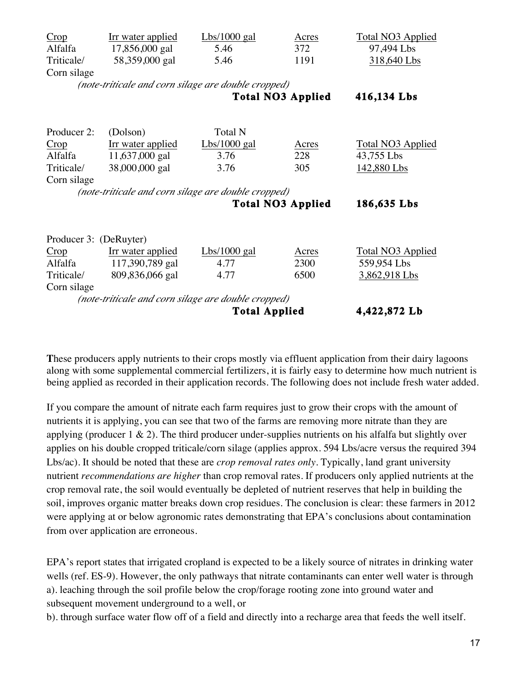| Crop                                                               | Irr water applied        | Lbs/1000 gal             | Acres       | <b>Total NO3 Applied</b> |  |  |  |  |  |  |
|--------------------------------------------------------------------|--------------------------|--------------------------|-------------|--------------------------|--|--|--|--|--|--|
| Alfalfa                                                            | 17,856,000 gal           | 5.46                     | 372         | 97,494 Lbs               |  |  |  |  |  |  |
| Triticale/                                                         | 58,359,000 gal           | 5.46                     | 1191        | 318,640 Lbs              |  |  |  |  |  |  |
| Corn silage                                                        |                          |                          |             |                          |  |  |  |  |  |  |
| (note-triticale and corn silage are double cropped)                |                          |                          |             |                          |  |  |  |  |  |  |
|                                                                    |                          | 416,134 Lbs              |             |                          |  |  |  |  |  |  |
|                                                                    |                          |                          |             |                          |  |  |  |  |  |  |
| Producer 2:                                                        | (Dolson)                 | <b>Total N</b>           |             |                          |  |  |  |  |  |  |
| Crop                                                               | <u>Irr water applied</u> | Lbs/1000 gal             | Acres       | <b>Total NO3 Applied</b> |  |  |  |  |  |  |
| Alfalfa                                                            | 11,637,000 gal           | 3.76                     | 228         | 43,755 Lbs               |  |  |  |  |  |  |
| Triticale/                                                         | 38,000,000 gal           | 3.76                     | 305         | 142,880 Lbs              |  |  |  |  |  |  |
| Corn silage                                                        |                          |                          |             |                          |  |  |  |  |  |  |
| (note-triticale and corn silage are double cropped)                |                          |                          |             |                          |  |  |  |  |  |  |
|                                                                    |                          | <b>Total NO3 Applied</b> | 186,635 Lbs |                          |  |  |  |  |  |  |
|                                                                    |                          |                          |             |                          |  |  |  |  |  |  |
| Producer 3: (DeRuyter)                                             |                          |                          |             |                          |  |  |  |  |  |  |
| Crop                                                               | Irr water applied        | Lbs/1000 gal             | Acres       | <b>Total NO3 Applied</b> |  |  |  |  |  |  |
| Alfalfa                                                            | 117,390,789 gal          | 4.77                     | 2300        | 559,954 Lbs              |  |  |  |  |  |  |
| Triticale/                                                         | 809,836,066 gal          | 4.77                     | 6500        | 3,862,918 Lbs            |  |  |  |  |  |  |
| Corn silage<br>(note-triticale and corn silage are double cropped) |                          |                          |             |                          |  |  |  |  |  |  |
|                                                                    | 4,422,872 Lb             |                          |             |                          |  |  |  |  |  |  |

**T**hese producers apply nutrients to their crops mostly via effluent application from their dairy lagoons along with some supplemental commercial fertilizers, it is fairly easy to determine how much nutrient is being applied as recorded in their application records. The following does not include fresh water added.

If you compare the amount of nitrate each farm requires just to grow their crops with the amount of nutrients it is applying, you can see that two of the farms are removing more nitrate than they are applying (producer  $1 \& 2$ ). The third producer under-supplies nutrients on his alfalfa but slightly over applies on his double cropped triticale/corn silage (applies approx. 594 Lbs/acre versus the required 394 Lbs/ac). It should be noted that these are *crop removal rates only*. Typically, land grant university nutrient *recommendations are higher* than crop removal rates. If producers only applied nutrients at the crop removal rate, the soil would eventually be depleted of nutrient reserves that help in building the soil, improves organic matter breaks down crop residues. The conclusion is clear: these farmers in 2012 were applying at or below agronomic rates demonstrating that EPA's conclusions about contamination from over application are erroneous.

EPA's report states that irrigated cropland is expected to be a likely source of nitrates in drinking water wells (ref. ES-9). However, the only pathways that nitrate contaminants can enter well water is through a). leaching through the soil profile below the crop/forage rooting zone into ground water and subsequent movement underground to a well, or

b). through surface water flow off of a field and directly into a recharge area that feeds the well itself.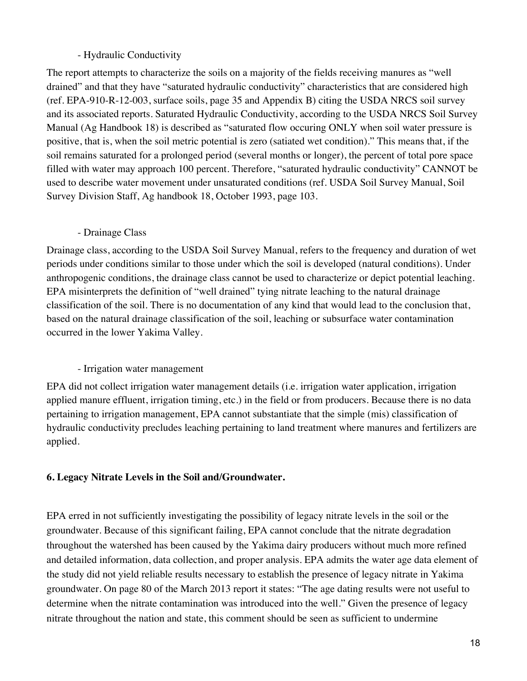#### - Hydraulic Conductivity

The report attempts to characterize the soils on a majority of the fields receiving manures as "well drained" and that they have "saturated hydraulic conductivity" characteristics that are considered high (ref. EPA-910-R-12-003, surface soils, page 35 and Appendix B) citing the USDA NRCS soil survey and its associated reports. Saturated Hydraulic Conductivity, according to the USDA NRCS Soil Survey Manual (Ag Handbook 18) is described as "saturated flow occuring ONLY when soil water pressure is positive, that is, when the soil metric potential is zero (satiated wet condition)." This means that, if the soil remains saturated for a prolonged period (several months or longer), the percent of total pore space filled with water may approach 100 percent. Therefore, "saturated hydraulic conductivity" CANNOT be used to describe water movement under unsaturated conditions (ref. USDA Soil Survey Manual, Soil Survey Division Staff, Ag handbook 18, October 1993, page 103.

#### - Drainage Class

Drainage class, according to the USDA Soil Survey Manual, refers to the frequency and duration of wet periods under conditions similar to those under which the soil is developed (natural conditions). Under anthropogenic conditions, the drainage class cannot be used to characterize or depict potential leaching. EPA misinterprets the definition of "well drained" tying nitrate leaching to the natural drainage classification of the soil. There is no documentation of any kind that would lead to the conclusion that, based on the natural drainage classification of the soil, leaching or subsurface water contamination occurred in the lower Yakima Valley.

### - Irrigation water management

EPA did not collect irrigation water management details (i.e. irrigation water application, irrigation applied manure effluent, irrigation timing, etc.) in the field or from producers. Because there is no data pertaining to irrigation management, EPA cannot substantiate that the simple (mis) classification of hydraulic conductivity precludes leaching pertaining to land treatment where manures and fertilizers are applied.

### **6. Legacy Nitrate Levels in the Soil and/Groundwater.**

EPA erred in not sufficiently investigating the possibility of legacy nitrate levels in the soil or the groundwater. Because of this significant failing, EPA cannot conclude that the nitrate degradation throughout the watershed has been caused by the Yakima dairy producers without much more refined and detailed information, data collection, and proper analysis. EPA admits the water age data element of the study did not yield reliable results necessary to establish the presence of legacy nitrate in Yakima groundwater. On page 80 of the March 2013 report it states: "The age dating results were not useful to determine when the nitrate contamination was introduced into the well." Given the presence of legacy nitrate throughout the nation and state, this comment should be seen as sufficient to undermine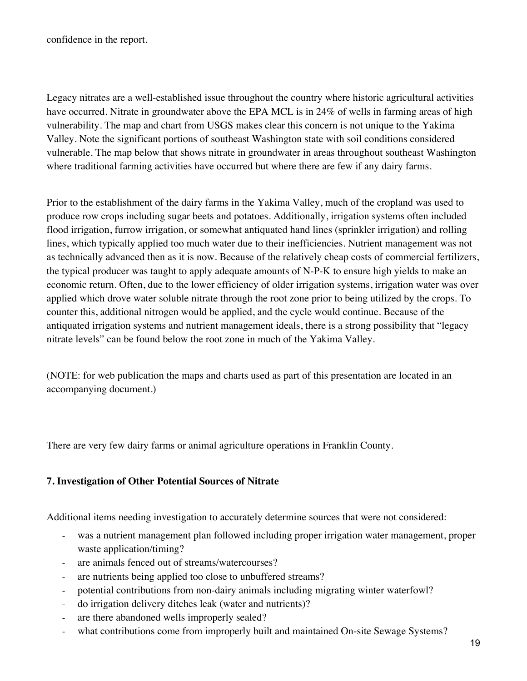confidence in the report.

Legacy nitrates are a well-established issue throughout the country where historic agricultural activities have occurred. Nitrate in groundwater above the EPA MCL is in 24% of wells in farming areas of high vulnerability. The map and chart from USGS makes clear this concern is not unique to the Yakima Valley. Note the significant portions of southeast Washington state with soil conditions considered vulnerable. The map below that shows nitrate in groundwater in areas throughout southeast Washington where traditional farming activities have occurred but where there are few if any dairy farms.

Prior to the establishment of the dairy farms in the Yakima Valley, much of the cropland was used to produce row crops including sugar beets and potatoes. Additionally, irrigation systems often included flood irrigation, furrow irrigation, or somewhat antiquated hand lines (sprinkler irrigation) and rolling lines, which typically applied too much water due to their inefficiencies. Nutrient management was not as technically advanced then as it is now. Because of the relatively cheap costs of commercial fertilizers, the typical producer was taught to apply adequate amounts of N-P-K to ensure high yields to make an economic return. Often, due to the lower efficiency of older irrigation systems, irrigation water was over applied which drove water soluble nitrate through the root zone prior to being utilized by the crops. To counter this, additional nitrogen would be applied, and the cycle would continue. Because of the antiquated irrigation systems and nutrient management ideals, there is a strong possibility that "legacy nitrate levels" can be found below the root zone in much of the Yakima Valley.

(NOTE: for web publication the maps and charts used as part of this presentation are located in an accompanying document.)

There are very few dairy farms or animal agriculture operations in Franklin County.

### **7. Investigation of Other Potential Sources of Nitrate**

Additional items needing investigation to accurately determine sources that were not considered:

- was a nutrient management plan followed including proper irrigation water management, proper waste application/timing?
- are animals fenced out of streams/watercourses?
- are nutrients being applied too close to unbuffered streams?
- potential contributions from non-dairy animals including migrating winter waterfowl?
- do irrigation delivery ditches leak (water and nutrients)?
- are there abandoned wells improperly sealed?
- what contributions come from improperly built and maintained On-site Sewage Systems?